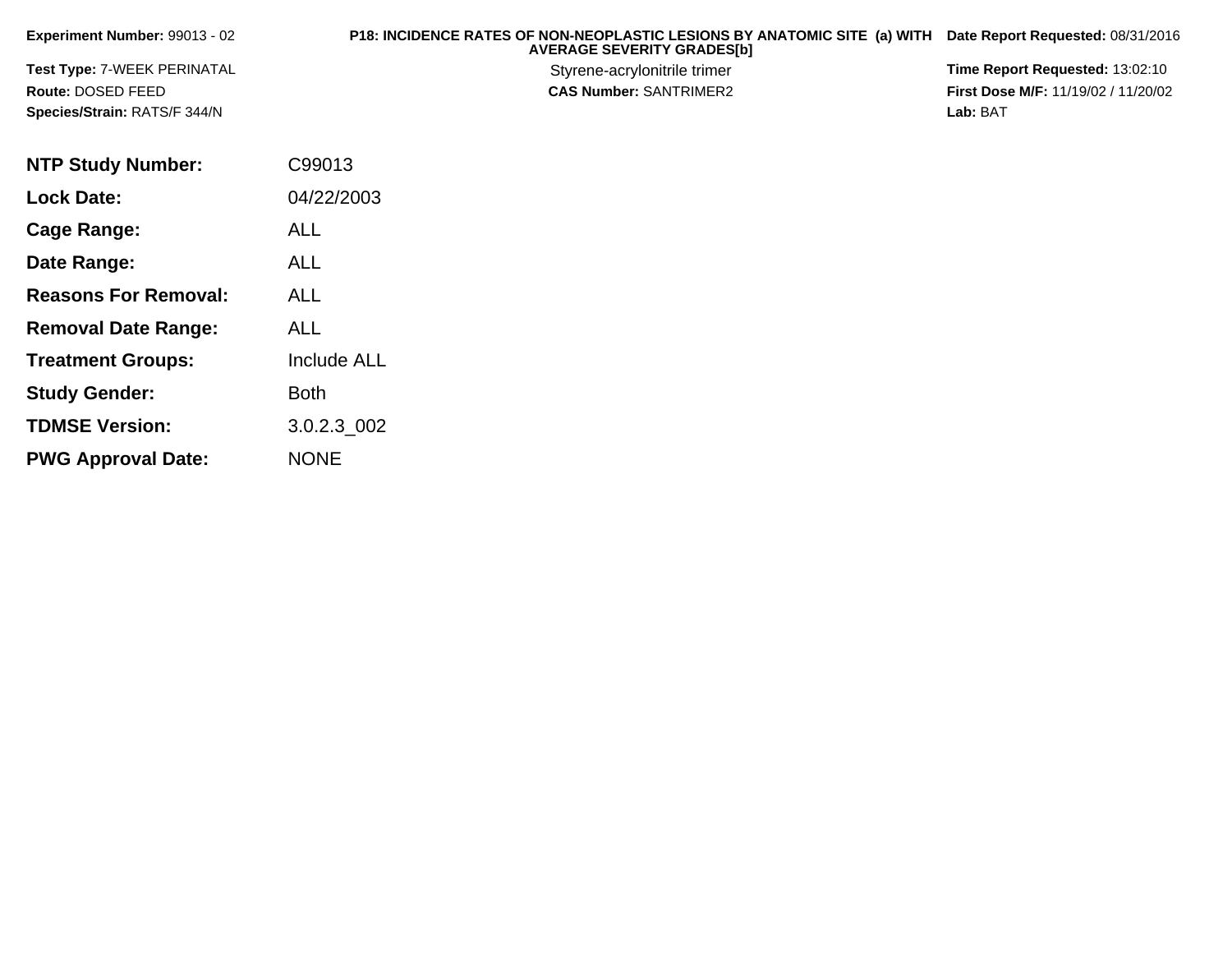| <b>Experiment Number: 99013 - 02</b> | <b>P18: INCIDENCE RATES OF NON-NEOPLASTIC LESIONS BY ANATOMIC SITE (a) WITH Date Report Requested: 08/31/2016</b><br><b>AVERAGE SEVERITY GRADES[b]</b> |                                            |
|--------------------------------------|--------------------------------------------------------------------------------------------------------------------------------------------------------|--------------------------------------------|
| <b>Test Type: 7-WEEK PERINATAL</b>   | Styrene-acrylonitrile trimer                                                                                                                           | <b>Time Report Requested: 13:02:10</b>     |
| Route: DOSED FEED                    | <b>CAS Number: SANTRIMER2</b>                                                                                                                          | <b>First Dose M/F: 11/19/02 / 11/20/02</b> |
| <b>Species/Strain: RATS/F 344/N</b>  |                                                                                                                                                        | Lab: BAT                                   |

| <b>NTP Study Number:</b>    | C99013             |
|-----------------------------|--------------------|
| <b>Lock Date:</b>           | 04/22/2003         |
| Cage Range:                 | ALL                |
| Date Range:                 | ALL                |
| <b>Reasons For Removal:</b> | <b>ALL</b>         |
| <b>Removal Date Range:</b>  | ALL                |
| <b>Treatment Groups:</b>    | <b>Include ALL</b> |
| <b>Study Gender:</b>        | <b>Both</b>        |
| <b>TDMSE Version:</b>       | 3.0.2.3 002        |
| <b>PWG Approval Date:</b>   | <b>NONE</b>        |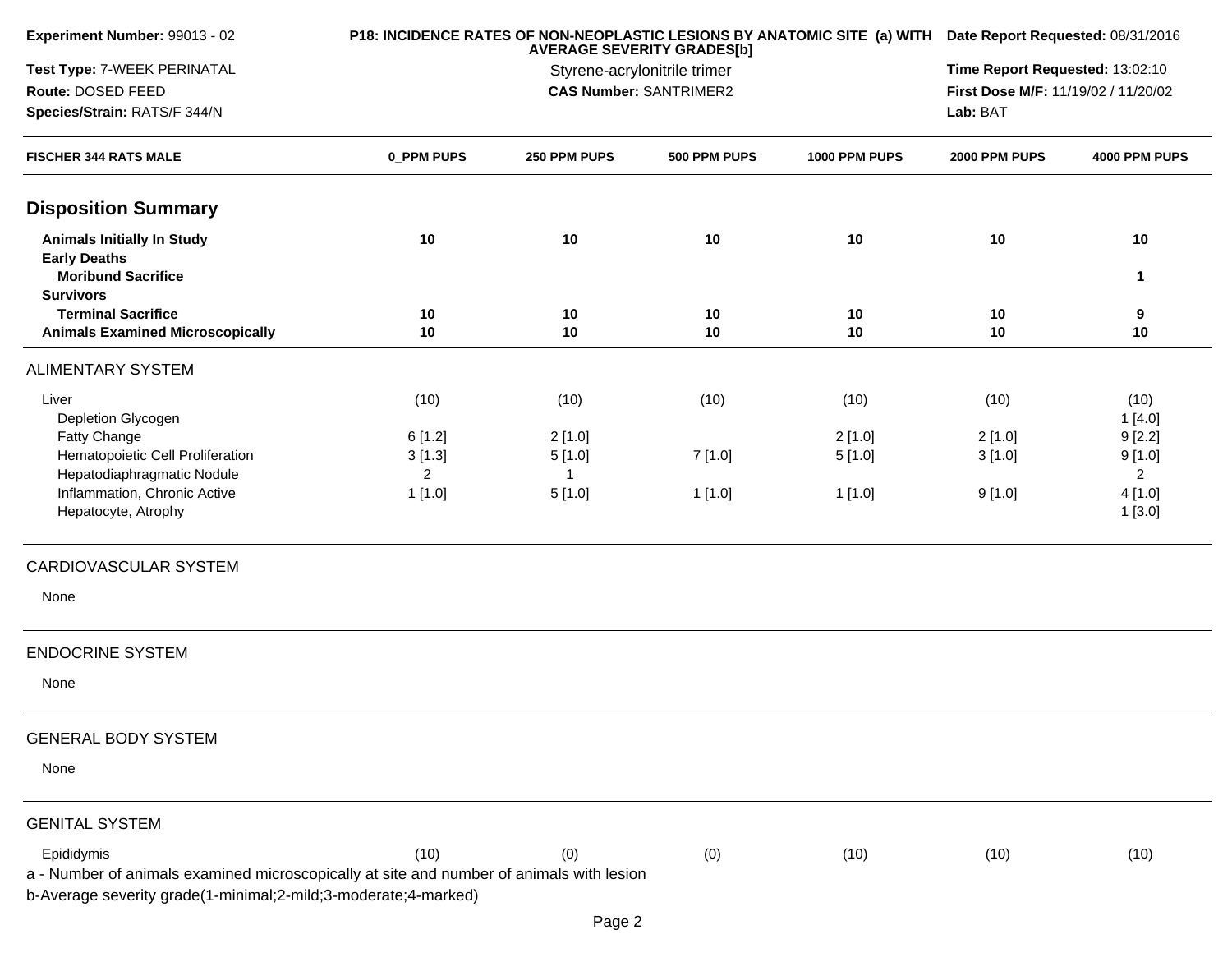| Experiment Number: 99013 - 02                                                                                                                                            |                                    | P18: INCIDENCE RATES OF NON-NEOPLASTIC LESIONS BY ANATOMIC SITE (a) WITH Date Report Requested: 08/31/2016 |                                                                        |                  |                  |                                    |
|--------------------------------------------------------------------------------------------------------------------------------------------------------------------------|------------------------------------|------------------------------------------------------------------------------------------------------------|------------------------------------------------------------------------|------------------|------------------|------------------------------------|
| Test Type: 7-WEEK PERINATAL<br>Route: DOSED FEED<br>Species/Strain: RATS/F 344/N                                                                                         |                                    | Lab: BAT                                                                                                   | Time Report Requested: 13:02:10<br>First Dose M/F: 11/19/02 / 11/20/02 |                  |                  |                                    |
| <b>FISCHER 344 RATS MALE</b>                                                                                                                                             | 0_PPM PUPS                         | 250 PPM PUPS                                                                                               | 500 PPM PUPS                                                           | 1000 PPM PUPS    | 2000 PPM PUPS    | 4000 PPM PUPS                      |
| <b>Disposition Summary</b>                                                                                                                                               |                                    |                                                                                                            |                                                                        |                  |                  |                                    |
| <b>Animals Initially In Study</b><br><b>Early Deaths</b><br><b>Moribund Sacrifice</b>                                                                                    | 10                                 | 10                                                                                                         | 10                                                                     | 10               | 10               | 10<br>1                            |
| <b>Survivors</b><br><b>Terminal Sacrifice</b><br><b>Animals Examined Microscopically</b>                                                                                 | 10<br>10                           | 10<br>10                                                                                                   | 10<br>10                                                               | 10<br>10         | 10<br>10         | 9<br>10                            |
| <b>ALIMENTARY SYSTEM</b>                                                                                                                                                 |                                    |                                                                                                            |                                                                        |                  |                  |                                    |
| Liver<br>Depletion Glycogen                                                                                                                                              | (10)                               | (10)                                                                                                       | (10)                                                                   | (10)             | (10)             | (10)<br>1[4.0]                     |
| Fatty Change<br>Hematopoietic Cell Proliferation<br>Hepatodiaphragmatic Nodule                                                                                           | 6[1.2]<br>3[1.3]<br>$\overline{2}$ | 2[1.0]<br>5[1.0]                                                                                           | 7[1.0]                                                                 | 2[1.0]<br>5[1.0] | 2[1.0]<br>3[1.0] | 9[2.2]<br>9[1.0]<br>$\overline{2}$ |
| Inflammation, Chronic Active<br>Hepatocyte, Atrophy                                                                                                                      | 1[1.0]                             | 5[1.0]                                                                                                     | 1[1.0]                                                                 | 1[1.0]           | 9[1.0]           | 4[1.0]<br>1[3.0]                   |
| CARDIOVASCULAR SYSTEM                                                                                                                                                    |                                    |                                                                                                            |                                                                        |                  |                  |                                    |
| None                                                                                                                                                                     |                                    |                                                                                                            |                                                                        |                  |                  |                                    |
| <b>ENDOCRINE SYSTEM</b>                                                                                                                                                  |                                    |                                                                                                            |                                                                        |                  |                  |                                    |
| None                                                                                                                                                                     |                                    |                                                                                                            |                                                                        |                  |                  |                                    |
| <b>GENERAL BODY SYSTEM</b>                                                                                                                                               |                                    |                                                                                                            |                                                                        |                  |                  |                                    |
| None                                                                                                                                                                     |                                    |                                                                                                            |                                                                        |                  |                  |                                    |
| <b>GENITAL SYSTEM</b>                                                                                                                                                    |                                    |                                                                                                            |                                                                        |                  |                  |                                    |
| Epididymis<br>a - Number of animals examined microscopically at site and number of animals with lesion<br>b-Average severity grade(1-minimal;2-mild;3-moderate;4-marked) | (10)                               | (0)<br>Page 2                                                                                              | (0)                                                                    | (10)             | (10)             | (10)                               |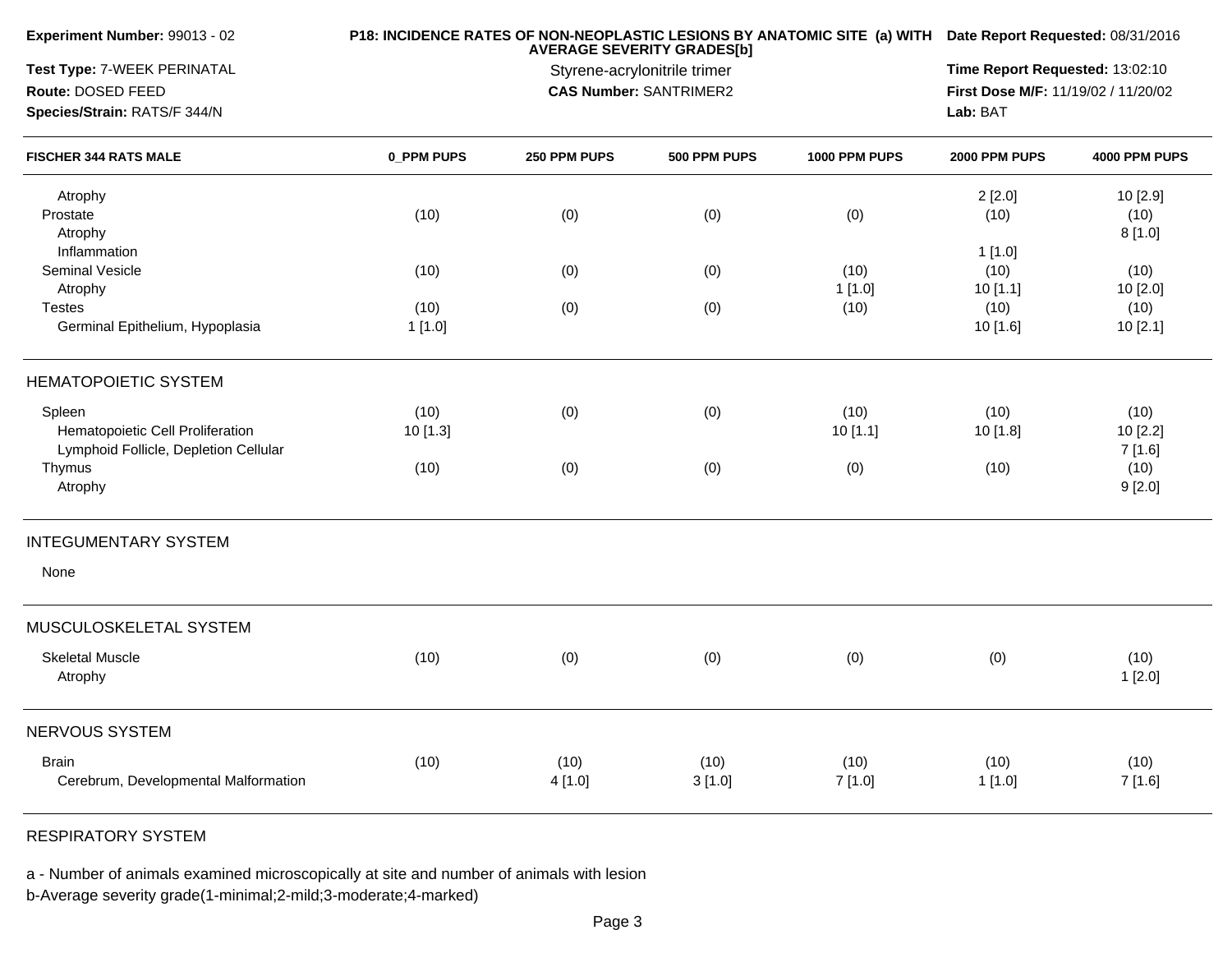| Experiment Number: 99013 - 02                                |            |                                                               | P18: INCIDENCE RATES OF NON-NEOPLASTIC LESIONS BY ANATOMIC SITE (a) WITH Date Report Requested: 08/31/2016 |               |               |               |
|--------------------------------------------------------------|------------|---------------------------------------------------------------|------------------------------------------------------------------------------------------------------------|---------------|---------------|---------------|
| Test Type: 7-WEEK PERINATAL                                  |            |                                                               | Time Report Requested: 13:02:10                                                                            |               |               |               |
| Route: DOSED FEED                                            |            | Styrene-acrylonitrile trimer<br><b>CAS Number: SANTRIMER2</b> |                                                                                                            |               |               |               |
| Species/Strain: RATS/F 344/N<br><b>FISCHER 344 RATS MALE</b> |            |                                                               |                                                                                                            |               | Lab: BAT      |               |
|                                                              | 0 PPM PUPS | 250 PPM PUPS                                                  | 500 PPM PUPS                                                                                               | 1000 PPM PUPS | 2000 PPM PUPS | 4000 PPM PUPS |
| Atrophy                                                      |            |                                                               |                                                                                                            |               | 2[2.0]        | 10 [2.9]      |
| Prostate                                                     | (10)       | (0)                                                           | (0)                                                                                                        | (0)           | (10)          | (10)          |
| Atrophy                                                      |            |                                                               |                                                                                                            |               |               | 8[1.0]        |
| Inflammation                                                 |            |                                                               |                                                                                                            |               | 1[1.0]        |               |
| Seminal Vesicle                                              | (10)       | (0)                                                           | (0)                                                                                                        | (10)          | (10)          | (10)          |
| Atrophy                                                      |            |                                                               |                                                                                                            | 1[1.0]        | 10[1.1]       | 10 [2.0]      |
| <b>Testes</b>                                                | (10)       | (0)                                                           | (0)                                                                                                        | (10)          | (10)          | (10)          |
| Germinal Epithelium, Hypoplasia                              | 1[1.0]     |                                                               |                                                                                                            |               | 10 [1.6]      | 10 [2.1]      |
| <b>HEMATOPOIETIC SYSTEM</b>                                  |            |                                                               |                                                                                                            |               |               |               |
| Spleen                                                       | (10)       | (0)                                                           | (0)                                                                                                        | (10)          | (10)          | (10)          |
| Hematopoietic Cell Proliferation                             | 10 [1.3]   |                                                               |                                                                                                            | 10[1.1]       | 10 [1.8]      | 10 [2.2]      |
| Lymphoid Follicle, Depletion Cellular                        |            |                                                               |                                                                                                            |               |               | 7[1.6]        |
| Thymus                                                       | (10)       | (0)                                                           | (0)                                                                                                        | (0)           | (10)          | (10)          |
| Atrophy                                                      |            |                                                               |                                                                                                            |               |               | 9[2.0]        |
| <b>INTEGUMENTARY SYSTEM</b>                                  |            |                                                               |                                                                                                            |               |               |               |
| None                                                         |            |                                                               |                                                                                                            |               |               |               |
| MUSCULOSKELETAL SYSTEM                                       |            |                                                               |                                                                                                            |               |               |               |
| <b>Skeletal Muscle</b>                                       | (10)       |                                                               |                                                                                                            |               |               | (10)          |
| Atrophy                                                      |            | (0)                                                           | (0)                                                                                                        | (0)           | (0)           | 1[2.0]        |
| NERVOUS SYSTEM                                               |            |                                                               |                                                                                                            |               |               |               |
| <b>Brain</b>                                                 | (10)       | (10)                                                          | (10)                                                                                                       | (10)          | (10)          | (10)          |
| Cerebrum, Developmental Malformation                         |            | 4[1.0]                                                        | 3[1.0]                                                                                                     | 7[1.0]        | 1[1.0]        | 7[1.6]        |
|                                                              |            |                                                               |                                                                                                            |               |               |               |
|                                                              |            |                                                               |                                                                                                            |               |               |               |

RESPIRATORY SYSTEM

a - Number of animals examined microscopically at site and number of animals with lesion

b-Average severity grade(1-minimal;2-mild;3-moderate;4-marked)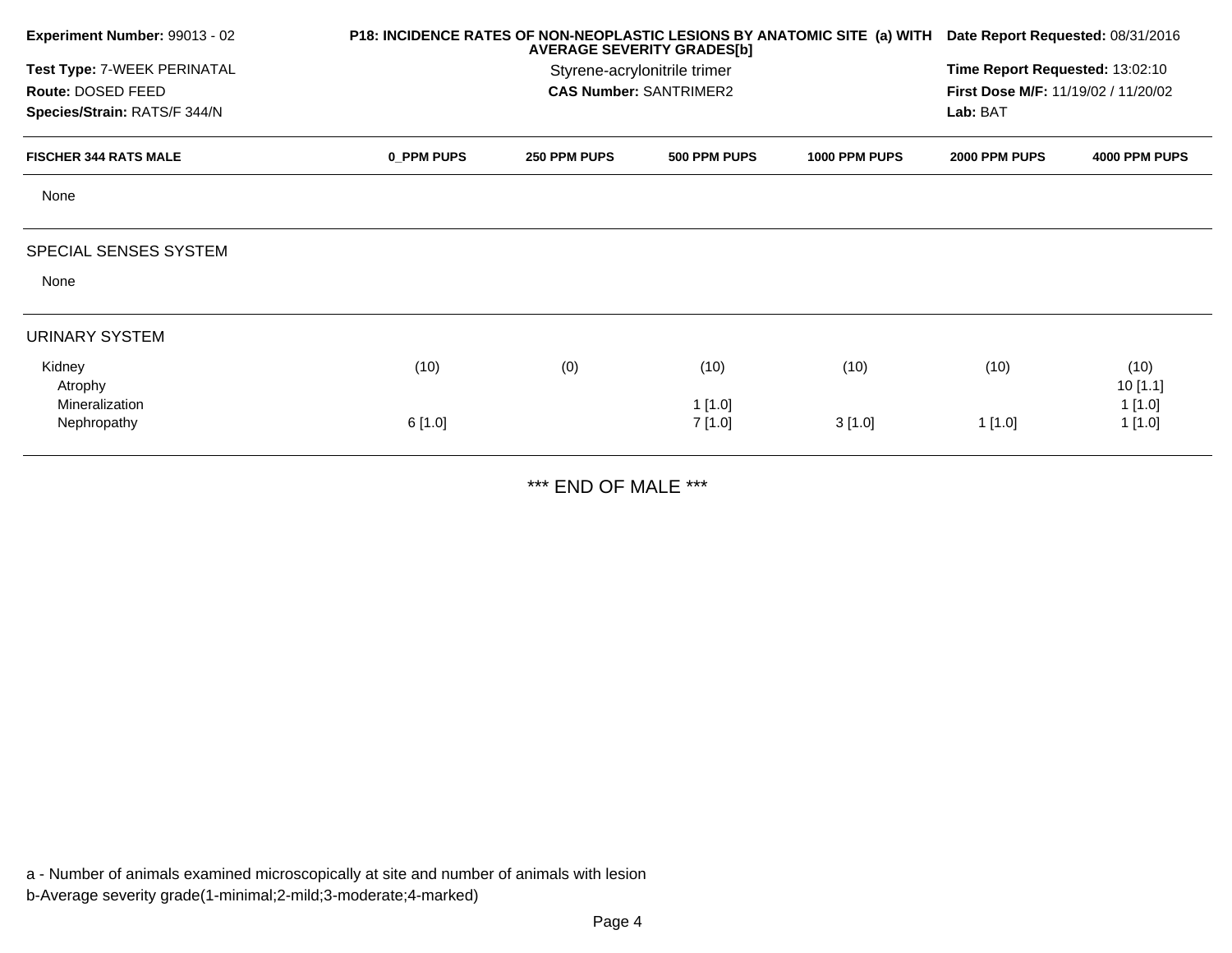| Experiment Number: 99013 - 02 |            | P18: INCIDENCE RATES OF NON-NEOPLASTIC LESIONS BY ANATOMIC SITE (a) WITH Date Report Requested: 08/31/2016 |                               |               |               |                                     |  |  |
|-------------------------------|------------|------------------------------------------------------------------------------------------------------------|-------------------------------|---------------|---------------|-------------------------------------|--|--|
| Test Type: 7-WEEK PERINATAL   |            | Styrene-acrylonitrile trimer                                                                               |                               |               |               | Time Report Requested: 13:02:10     |  |  |
| Route: DOSED FEED             |            |                                                                                                            | <b>CAS Number: SANTRIMER2</b> |               |               | First Dose M/F: 11/19/02 / 11/20/02 |  |  |
| Species/Strain: RATS/F 344/N  |            |                                                                                                            |                               |               | Lab: BAT      |                                     |  |  |
| <b>FISCHER 344 RATS MALE</b>  | 0 PPM PUPS | 250 PPM PUPS                                                                                               | 500 PPM PUPS                  | 1000 PPM PUPS | 2000 PPM PUPS | 4000 PPM PUPS                       |  |  |
| None                          |            |                                                                                                            |                               |               |               |                                     |  |  |
| SPECIAL SENSES SYSTEM         |            |                                                                                                            |                               |               |               |                                     |  |  |
| None                          |            |                                                                                                            |                               |               |               |                                     |  |  |
| <b>URINARY SYSTEM</b>         |            |                                                                                                            |                               |               |               |                                     |  |  |
| Kidney                        | (10)       | (0)                                                                                                        | (10)                          | (10)          | (10)          | (10)                                |  |  |
| Atrophy                       |            |                                                                                                            |                               |               |               | 10[1.1]                             |  |  |
| Mineralization                |            |                                                                                                            | 1[1.0]                        |               |               | 1[1.0]                              |  |  |
| Nephropathy                   | 6[1.0]     |                                                                                                            | 7[1.0]                        | 3[1.0]        | 1[1.0]        | 1[1.0]                              |  |  |

\*\*\* END OF MALE \*\*\*

a - Number of animals examined microscopically at site and number of animals with lesionb-Average severity grade(1-minimal;2-mild;3-moderate;4-marked)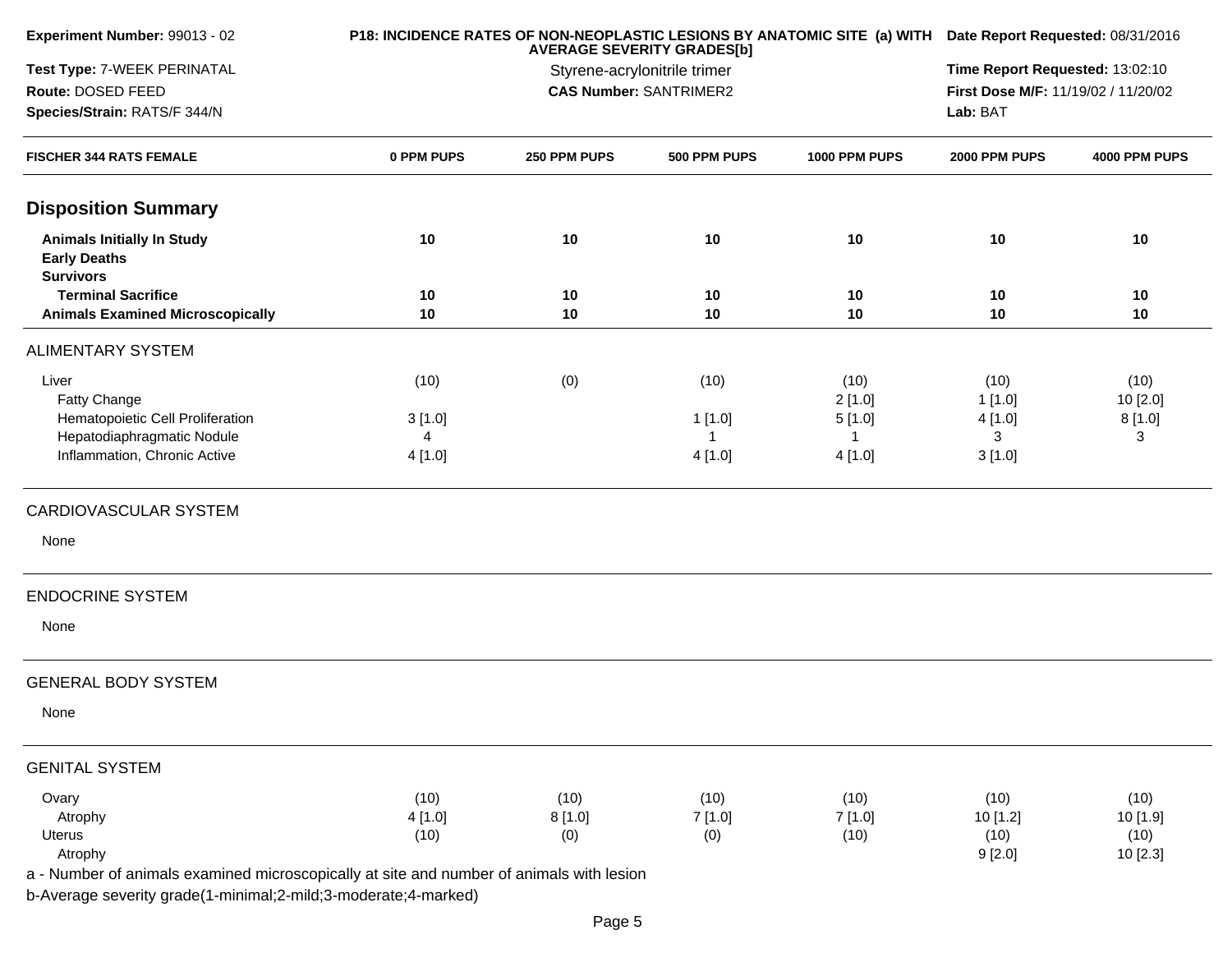| Experiment Number: 99013 - 02                                                            |            | P18: INCIDENCE RATES OF NON-NEOPLASTIC LESIONS BY ANATOMIC SITE (a) WITH Date Report Requested: 08/31/2016 |                                                                   |               |                                     |               |  |
|------------------------------------------------------------------------------------------|------------|------------------------------------------------------------------------------------------------------------|-------------------------------------------------------------------|---------------|-------------------------------------|---------------|--|
| Test Type: 7-WEEK PERINATAL                                                              |            |                                                                                                            | <b>AVERAGE SEVERITY GRADES[b]</b><br>Styrene-acrylonitrile trimer |               | Time Report Requested: 13:02:10     |               |  |
| Route: DOSED FEED                                                                        |            |                                                                                                            | <b>CAS Number: SANTRIMER2</b>                                     |               | First Dose M/F: 11/19/02 / 11/20/02 |               |  |
| Species/Strain: RATS/F 344/N                                                             |            |                                                                                                            |                                                                   |               | Lab: BAT                            |               |  |
| <b>FISCHER 344 RATS FEMALE</b>                                                           | 0 PPM PUPS | 250 PPM PUPS                                                                                               | 500 PPM PUPS                                                      | 1000 PPM PUPS | 2000 PPM PUPS                       | 4000 PPM PUPS |  |
| <b>Disposition Summary</b>                                                               |            |                                                                                                            |                                                                   |               |                                     |               |  |
| <b>Animals Initially In Study</b><br><b>Early Deaths</b><br><b>Survivors</b>             | 10         | 10                                                                                                         | 10                                                                | 10            | 10                                  | 10            |  |
| <b>Terminal Sacrifice</b>                                                                | 10         | 10                                                                                                         | 10                                                                | 10            | 10                                  | 10            |  |
| <b>Animals Examined Microscopically</b>                                                  | 10         | 10                                                                                                         | 10                                                                | 10            | 10                                  | 10            |  |
| <b>ALIMENTARY SYSTEM</b>                                                                 |            |                                                                                                            |                                                                   |               |                                     |               |  |
| Liver                                                                                    | (10)       | (0)                                                                                                        | (10)                                                              | (10)          | (10)                                | (10)          |  |
| Fatty Change                                                                             |            |                                                                                                            |                                                                   | 2[1.0]        | 1[1.0]                              | 10 [2.0]      |  |
| Hematopoietic Cell Proliferation                                                         | 3[1.0]     |                                                                                                            | 1[1.0]                                                            | 5[1.0]        | 4[1.0]                              | 8[1.0]        |  |
| Hepatodiaphragmatic Nodule                                                               | 4          |                                                                                                            | $\mathbf 1$                                                       | $\mathbf{1}$  | 3                                   | 3             |  |
| Inflammation, Chronic Active                                                             | 4[1.0]     |                                                                                                            | 4 [1.0]                                                           | 4[1.0]        | 3[1.0]                              |               |  |
| CARDIOVASCULAR SYSTEM                                                                    |            |                                                                                                            |                                                                   |               |                                     |               |  |
| None                                                                                     |            |                                                                                                            |                                                                   |               |                                     |               |  |
| <b>ENDOCRINE SYSTEM</b>                                                                  |            |                                                                                                            |                                                                   |               |                                     |               |  |
| None                                                                                     |            |                                                                                                            |                                                                   |               |                                     |               |  |
| <b>GENERAL BODY SYSTEM</b>                                                               |            |                                                                                                            |                                                                   |               |                                     |               |  |
| None                                                                                     |            |                                                                                                            |                                                                   |               |                                     |               |  |
| <b>GENITAL SYSTEM</b>                                                                    |            |                                                                                                            |                                                                   |               |                                     |               |  |
| Ovary                                                                                    | (10)       | (10)                                                                                                       | (10)                                                              | (10)          | (10)                                | (10)          |  |
| Atrophy                                                                                  | 4[1.0]     | 8[1.0]                                                                                                     | 7[1.0]                                                            | 7[1.0]        | 10 [1.2]                            | 10 [1.9]      |  |
| Uterus                                                                                   | (10)       | (0)                                                                                                        | (0)                                                               | (10)          | (10)                                | (10)          |  |
| Atrophy                                                                                  |            |                                                                                                            |                                                                   |               | 9[2.0]                              | 10 [2.3]      |  |
| a - Number of animals examined microscopically at site and number of animals with lesion |            |                                                                                                            |                                                                   |               |                                     |               |  |
|                                                                                          |            |                                                                                                            |                                                                   |               |                                     |               |  |

b-Average severity grade(1-minimal;2-mild;3-moderate;4-marked)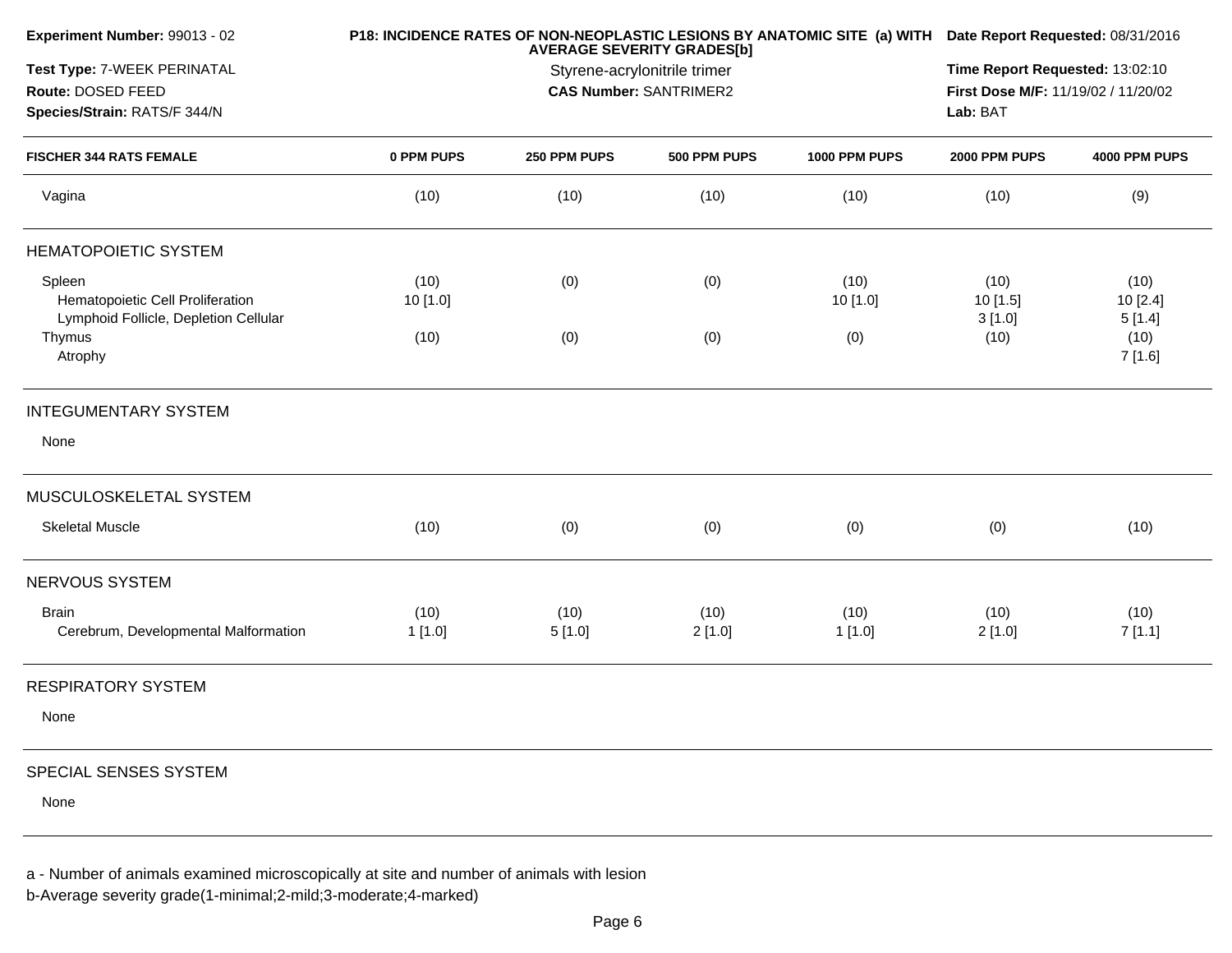| Experiment Number: 99013 - 02                                                       |                  |                                                                                    | P18: INCIDENCE RATES OF NON-NEOPLASTIC LESIONS BY ANATOMIC SITE (a) WITH Date Report Requested: 08/31/2016 |                  |                            |                           |
|-------------------------------------------------------------------------------------|------------------|------------------------------------------------------------------------------------|------------------------------------------------------------------------------------------------------------|------------------|----------------------------|---------------------------|
| Test Type: 7-WEEK PERINATAL<br>Route: DOSED FEED<br>Species/Strain: RATS/F 344/N    |                  | Time Report Requested: 13:02:10<br>First Dose M/F: 11/19/02 / 11/20/02<br>Lab: BAT |                                                                                                            |                  |                            |                           |
| <b>FISCHER 344 RATS FEMALE</b>                                                      | 0 PPM PUPS       | 250 PPM PUPS                                                                       | 500 PPM PUPS                                                                                               | 1000 PPM PUPS    | 2000 PPM PUPS              | 4000 PPM PUPS             |
| Vagina                                                                              | (10)             | (10)                                                                               | (10)                                                                                                       | (10)             | (10)                       | (9)                       |
| <b>HEMATOPOIETIC SYSTEM</b>                                                         |                  |                                                                                    |                                                                                                            |                  |                            |                           |
| Spleen<br>Hematopoietic Cell Proliferation<br>Lymphoid Follicle, Depletion Cellular | (10)<br>10 [1.0] | (0)                                                                                | (0)                                                                                                        | (10)<br>10 [1.0] | (10)<br>10 [1.5]<br>3[1.0] | (10)<br>10[2.4]<br>5[1.4] |
| Thymus<br>Atrophy                                                                   | (10)             | (0)                                                                                | (0)                                                                                                        | (0)              | (10)                       | (10)<br>7 [1.6]           |
| <b>INTEGUMENTARY SYSTEM</b>                                                         |                  |                                                                                    |                                                                                                            |                  |                            |                           |
| None                                                                                |                  |                                                                                    |                                                                                                            |                  |                            |                           |
| MUSCULOSKELETAL SYSTEM                                                              |                  |                                                                                    |                                                                                                            |                  |                            |                           |
| <b>Skeletal Muscle</b>                                                              | (10)             | (0)                                                                                | (0)                                                                                                        | (0)              | (0)                        | (10)                      |
| NERVOUS SYSTEM                                                                      |                  |                                                                                    |                                                                                                            |                  |                            |                           |
| <b>Brain</b><br>Cerebrum, Developmental Malformation                                | (10)<br>1[1.0]   | (10)<br>5[1.0]                                                                     | (10)<br>2[1.0]                                                                                             | (10)<br>1[1.0]   | (10)<br>2[1.0]             | (10)<br>7[1.1]            |
| <b>RESPIRATORY SYSTEM</b>                                                           |                  |                                                                                    |                                                                                                            |                  |                            |                           |
| None                                                                                |                  |                                                                                    |                                                                                                            |                  |                            |                           |
| SPECIAL SENSES SYSTEM                                                               |                  |                                                                                    |                                                                                                            |                  |                            |                           |
| None                                                                                |                  |                                                                                    |                                                                                                            |                  |                            |                           |

a - Number of animals examined microscopically at site and number of animals with lesion

b-Average severity grade(1-minimal;2-mild;3-moderate;4-marked)